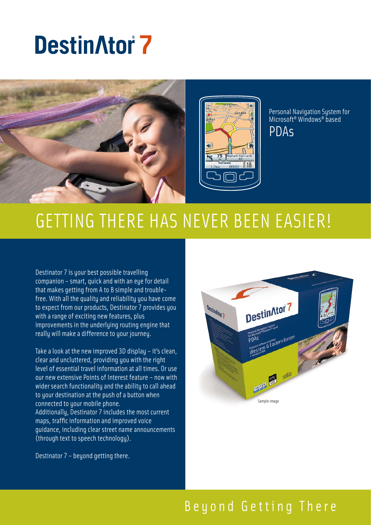# **DestinAtor 7**



# Getting There has never been Easier!

Destinator 7 is your best possible travelling companion – smart, quick and with an eye for detail that makes getting from A to B simple and troublefree. With all the quality and reliability you have come to expect from our products, Destinator 7 provides you with a range of exciting new features, plus improvements in the underlying routing engine that really will make a difference to your journey.

Take a look at the new improved 3D display – it's clean, clear and uncluttered, providing you with the right level of essential travel information at all times. Or use our new extensive Points of Interest feature – now with wider search functionality and the ability to call ahead to your destination at the push of a button when connected to your mobile phone. Additionally, Destinator 7 includes the most current maps, traffic information and improved voice guidance, including clear street name announcements (through text to speech technology).



Destinator 7 – beyond getting there.

## Beyond Getting There